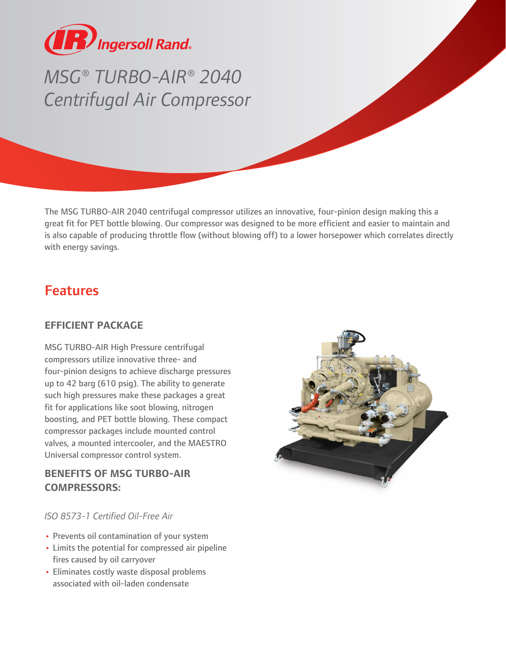

# *MSG® TURBO-AIR® 2040 Centrifugal Air Compressor*

The MSG TURBO-AIR 2040 centrifugal compressor utilizes an innovative, four-pinion design making this a great fit for PET bottle blowing. Our compressor was designed to be more efficient and easier to maintain and is also capable of producing throttle flow (without blowing off) to a lower horsepower which correlates directly with energy savings.

# Features

### **EFFICIENT PACKAGE**

MSG TURBO-AIR High Pressure centrifugal compressors utilize innovative three- and four-pinion designs to achieve discharge pressures up to 42 barg (610 psig). The ability to generate such high pressures make these packages a great fit for applications like soot blowing, nitrogen boosting, and PET bottle blowing. These compact compressor packages include mounted control valves, a mounted intercooler, and the MAESTRO Universal compressor control system.

### **BENEFITS OF MSG TURBO-AIR COMPRESSORS:**

*ISO 8573-1 Certified Oil-Free Air*

- **•** Prevents oil contamination of your system
- **•** Limits the potential for compressed air pipeline fires caused by oil carryover
- **•** Eliminates costly waste disposal problems associated with oil-laden condensate

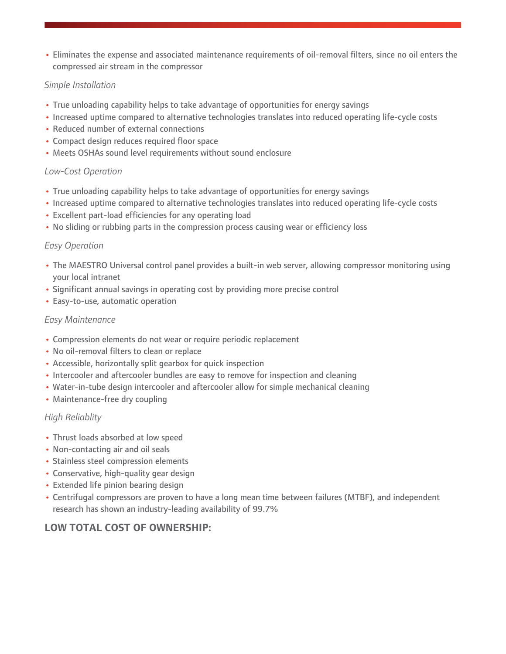**•** Eliminates the expense and associated maintenance requirements of oil-removal filters, since no oil enters the compressed air stream in the compressor

#### *Simple Installation*

- **•** True unloading capability helps to take advantage of opportunities for energy savings
- **•** Increased uptime compared to alternative technologies translates into reduced operating life-cycle costs
- **•** Reduced number of external connections
- **•** Compact design reduces required floor space
- **•** Meets OSHAs sound level requirements without sound enclosure

#### *Low-Cost Operation*

- **•** True unloading capability helps to take advantage of opportunities for energy savings
- **•** Increased uptime compared to alternative technologies translates into reduced operating life-cycle costs
- **•** Excellent part-load efficiencies for any operating load
- **•** No sliding or rubbing parts in the compression process causing wear or efficiency loss

#### *Easy Operation*

- **•** The MAESTRO Universal control panel provides a built-in web server, allowing compressor monitoring using your local intranet
- **•** Significant annual savings in operating cost by providing more precise control
- **•** Easy-to-use, automatic operation

#### *Easy Maintenance*

- **•** Compression elements do not wear or require periodic replacement
- **•** No oil-removal filters to clean or replace
- **•** Accessible, horizontally split gearbox for quick inspection
- **•** Intercooler and aftercooler bundles are easy to remove for inspection and cleaning
- **•** Water-in-tube design intercooler and aftercooler allow for simple mechanical cleaning
- **•** Maintenance-free dry coupling

#### *High Reliablity*

- **•** Thrust loads absorbed at low speed
- **•** Non-contacting air and oil seals
- **•** Stainless steel compression elements
- **•** Conservative, high-quality gear design
- **•** Extended life pinion bearing design
- **•** Centrifugal compressors are proven to have a long mean time between failures (MTBF), and independent research has shown an industry-leading availability of 99.7%

### **LOW TOTAL COST OF OWNERSHIP:**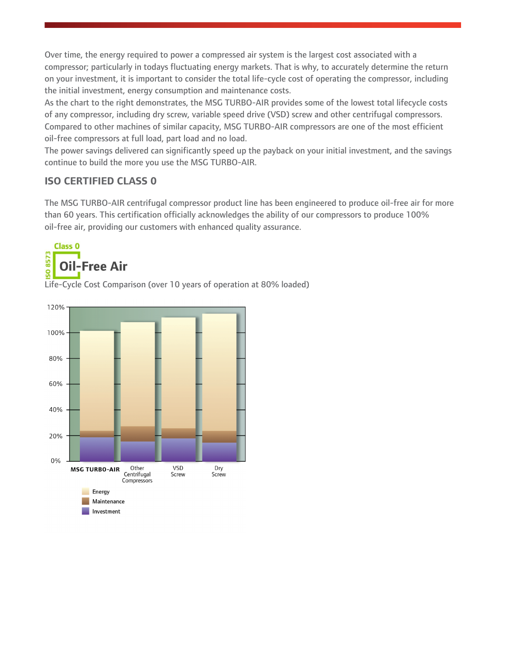Over time, the energy required to power a compressed air system is the largest cost associated with a compressor; particularly in todays fluctuating energy markets. That is why, to accurately determine the return on your investment, it is important to consider the total life-cycle cost of operating the compressor, including the initial investment, energy consumption and maintenance costs.

As the chart to the right demonstrates, the MSG TURBO-AIR provides some of the lowest total lifecycle costs of any compressor, including dry screw, variable speed drive (VSD) screw and other centrifugal compressors. Compared to other machines of similar capacity, MSG TURBO-AIR compressors are one of the most efficient oil-free compressors at full load, part load and no load.

The power savings delivered can significantly speed up the payback on your initial investment, and the savings continue to build the more you use the MSG TURBO-AIR.

## **ISO CERTIFIED CLASS 0**

The MSG TURBO-AIR centrifugal compressor product line has been engineered to produce oil-free air for more than 60 years. This certification officially acknowledges the ability of our compressors to produce 100% oil-free air, providing our customers with enhanced quality assurance.

#### **Class 0** 8573 **Oil-Free Air** SO

Life-Cycle Cost Comparison (over 10 years of operation at 80% loaded)